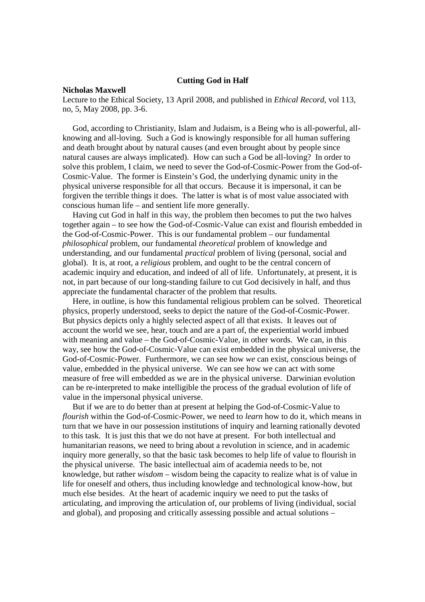## **Cutting God in Half**

## **Nicholas Maxwell**

Lecture to the Ethical Society, 13 April 2008, and published in *Ethical Record*, vol 113, no, 5, May 2008, pp. 3-6.

God, according to Christianity, Islam and Judaism, is a Being who is all-powerful, allknowing and all-loving. Such a God is knowingly responsible for all human suffering and death brought about by natural causes (and even brought about by people since natural causes are always implicated). How can such a God be all-loving? In order to solve this problem, I claim, we need to sever the God-of-Cosmic-Power from the God-of-Cosmic-Value. The former is Einstein's God, the underlying dynamic unity in the physical universe responsible for all that occurs. Because it is impersonal, it can be forgiven the terrible things it does. The latter is what is of most value associated with conscious human life – and sentient life more generally.

Having cut God in half in this way, the problem then becomes to put the two halves together again – to see how the God-of-Cosmic-Value can exist and flourish embedded in the God-of-Cosmic-Power. This is our fundamental problem – our fundamental *philosophical* problem, our fundamental *theoretical* problem of knowledge and understanding, and our fundamental *practical* problem of living (personal, social and global). It is, at root, a *religious* problem, and ought to be the central concern of academic inquiry and education, and indeed of all of life. Unfortunately, at present, it is not, in part because of our long-standing failure to cut God decisively in half, and thus appreciate the fundamental character of the problem that results.

Here, in outline, is how this fundamental religious problem can be solved. Theoretical physics, properly understood, seeks to depict the nature of the God-of-Cosmic-Power. But physics depicts only a highly selected aspect of all that exists. It leaves out of account the world we see, hear, touch and are a part of, the experiential world imbued with meaning and value – the God-of-Cosmic-Value, in other words. We can, in this way, see how the God-of-Cosmic-Value can exist embedded in the physical universe, the God-of-Cosmic-Power. Furthermore, we can see how *we* can exist, conscious beings of value, embedded in the physical universe. We can see how we can act with some measure of free will embedded as we are in the physical universe. Darwinian evolution can be re-interpreted to make intelligible the process of the gradual evolution of life of value in the impersonal physical universe.

But if we are to do better than at present at helping the God-of-Cosmic-Value to *flourish* within the God-of-Cosmic-Power, we need to *learn* how to do it, which means in turn that we have in our possession institutions of inquiry and learning rationally devoted to this task. It is just this that we do not have at present. For both intellectual and humanitarian reasons, we need to bring about a revolution in science, and in academic inquiry more generally, so that the basic task becomes to help life of value to flourish in the physical universe. The basic intellectual aim of academia needs to be, not knowledge, but rather *wisdom* – wisdom being the capacity to realize what is of value in life for oneself and others, thus including knowledge and technological know-how, but much else besides. At the heart of academic inquiry we need to put the tasks of articulating, and improving the articulation of, our problems of living (individual, social and global), and proposing and critically assessing possible and actual solutions –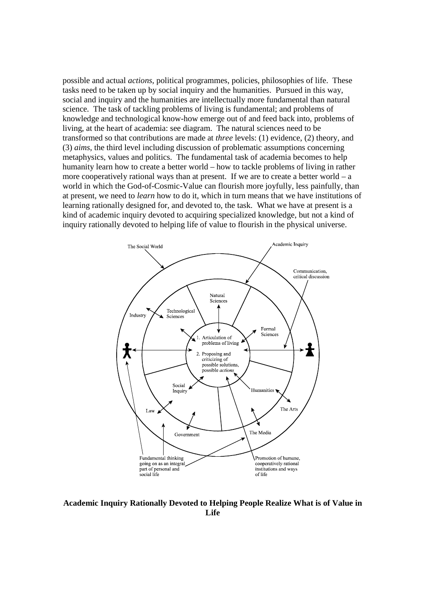possible and actual *actions*, political programmes, policies, philosophies of life. These tasks need to be taken up by social inquiry and the humanities. Pursued in this way, social and inquiry and the humanities are intellectually more fundamental than natural science. The task of tackling problems of living is fundamental; and problems of knowledge and technological know-how emerge out of and feed back into, problems of living, at the heart of academia: see diagram. The natural sciences need to be transformed so that contributions are made at *three* levels: (1) evidence, (2) theory, and (3) *aims*, the third level including discussion of problematic assumptions concerning metaphysics, values and politics. The fundamental task of academia becomes to help humanity learn how to create a better world – how to tackle problems of living in rather more cooperatively rational ways than at present. If we are to create a better world  $-$  a world in which the God-of-Cosmic-Value can flourish more joyfully, less painfully, than at present, we need to *learn* how to do it, which in turn means that we have institutions of learning rationally designed for, and devoted to, the task. What we have at present is a kind of academic inquiry devoted to acquiring specialized knowledge, but not a kind of inquiry rationally devoted to helping life of value to flourish in the physical universe.



**Academic Inquiry Rationally Devoted to Helping People Realize What is of Value in Life**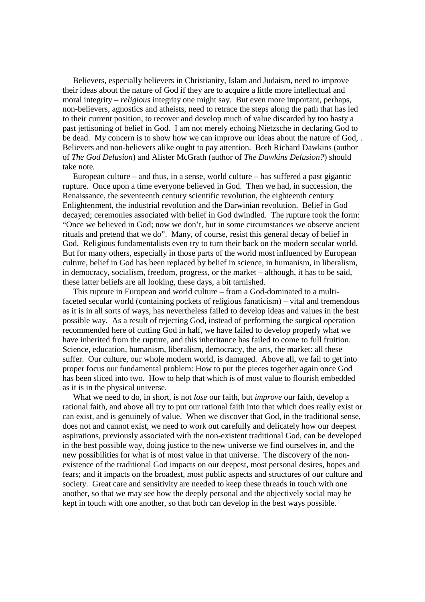Believers, especially believers in Christianity, Islam and Judaism, need to improve their ideas about the nature of God if they are to acquire a little more intellectual and moral integrity – *religious* integrity one might say. But even more important, perhaps, non-believers, agnostics and atheists, need to retrace the steps along the path that has led to their current position, to recover and develop much of value discarded by too hasty a past jettisoning of belief in God. I am not merely echoing Nietzsche in declaring God to be dead. My concern is to show how we can improve our ideas about the nature of God, . Believers and non-believers alike ought to pay attention. Both Richard Dawkins (author of *The God Delusion*) and Alister McGrath (author of *The Dawkins Delusion?*) should take note.

European culture – and thus, in a sense, world culture – has suffered a past gigantic rupture. Once upon a time everyone believed in God. Then we had, in succession, the Renaissance, the seventeenth century scientific revolution, the eighteenth century Enlightenment, the industrial revolution and the Darwinian revolution. Belief in God decayed; ceremonies associated with belief in God dwindled. The rupture took the form: "Once we believed in God; now we don't, but in some circumstances we observe ancient rituals and pretend that we do". Many, of course, resist this general decay of belief in God. Religious fundamentalists even try to turn their back on the modern secular world. But for many others, especially in those parts of the world most influenced by European culture, belief in God has been replaced by belief in science, in humanism, in liberalism, in democracy, socialism, freedom, progress, or the market – although, it has to be said, these latter beliefs are all looking, these days, a bit tarnished.

This rupture in European and world culture – from a God-dominated to a multifaceted secular world (containing pockets of religious fanaticism) – vital and tremendous as it is in all sorts of ways, has nevertheless failed to develop ideas and values in the best possible way. As a result of rejecting God, instead of performing the surgical operation recommended here of cutting God in half, we have failed to develop properly what we have inherited from the rupture, and this inheritance has failed to come to full fruition. Science, education, humanism, liberalism, democracy, the arts, the market: all these suffer. Our culture, our whole modern world, is damaged. Above all, we fail to get into proper focus our fundamental problem: How to put the pieces together again once God has been sliced into two. How to help that which is of most value to flourish embedded as it is in the physical universe.

What we need to do, in short, is not *lose* our faith, but *improve* our faith, develop a rational faith, and above all try to put our rational faith into that which does really exist or can exist, and is genuinely of value. When we discover that God, in the traditional sense, does not and cannot exist, we need to work out carefully and delicately how our deepest aspirations, previously associated with the non-existent traditional God, can be developed in the best possible way, doing justice to the new universe we find ourselves in, and the new possibilities for what is of most value in that universe. The discovery of the nonexistence of the traditional God impacts on our deepest, most personal desires, hopes and fears; and it impacts on the broadest, most public aspects and structures of our culture and society. Great care and sensitivity are needed to keep these threads in touch with one another, so that we may see how the deeply personal and the objectively social may be kept in touch with one another, so that both can develop in the best ways possible.